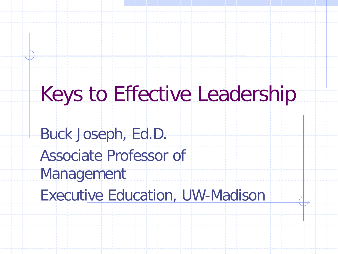#### Keys to Effective Leadership

Buck Joseph, Ed.D.

Associate Professor of

Management

Executive Education, UW-Madison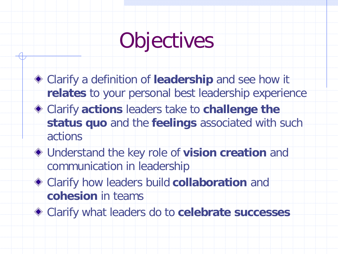## Objectives

- Clarify a definition of **leadership** and see how it **relates** to your personal best leadership experience
- Clarify **actions** leaders take to **challenge the status quo** and the **feelings** associated with such actions
- Understand the key role of **vision creation** and communication in leadership
- Clarify how leaders build **collaboration** and **cohesion** in teams
- Clarify what leaders do to **celebrate successes**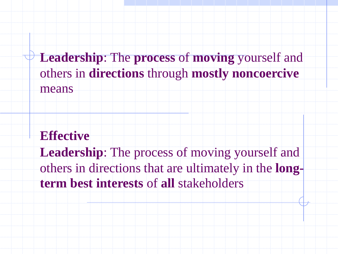**Leadership**: The **process** of **moving** yourself and others in **directions** through **mostly noncoercive** means

- **Effective**
- **Leadership**: The process of moving yourself and
- others in directions that are ultimately in the **longterm best interests** of **all** stakeholders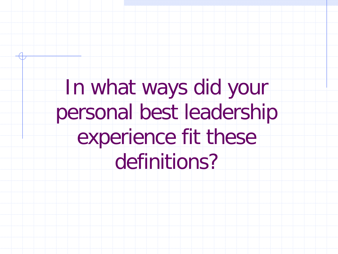# In what ways did your personal best leadership experience fit these definitions?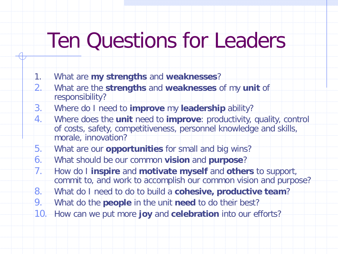### Ten Questions for Leaders

- 1. What are **my strengths** and **weaknesses**?
- 2. What are the **strengths** and **weaknesses** of my **unit** of responsibility?
- 3. Where do I need to **improve** my **leadership** ability?
- 4. Where does the **unit** need to **improve**: productivity, quality, control of costs, safety, competitiveness, personnel knowledge and skills, morale, innovation?
- 5. What are our **opportunities** for small and big wins?
- 6. What should be our common **vision** and **purpose**?
- 7. How do I **inspire** and **motivate myself** and **others** to support, commit to, and work to accomplish our common vision and purpose?
- 8. What do I need to do to build a **cohesive, productive team**?
- 9. What do the **people** in the unit **need** to do their best?
- 10. How can we put more **joy** and **celebration** into our efforts?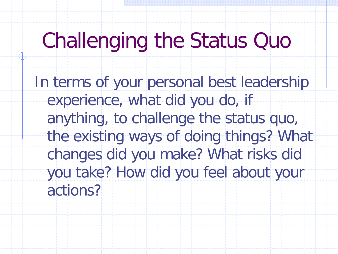### Challenging the Status Quo

In terms of your personal best leadership experience, what did you do, if anything, to challenge the status quo, the existing ways of doing things? What changes did you make? What risks did you take? How did you feel about your actions?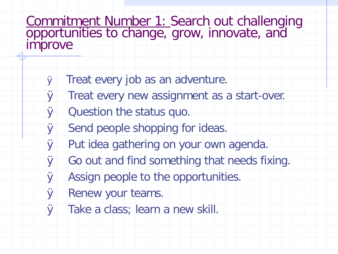Commitment Number 1: Search out challenging<br>opportunities to change, grow, innovate, and improve

- Ø Treat every job as an adventure.
- Ø Treat every new assignment as a start-over.
- **Ø** Question the status quo.
- Ø Send people shopping for ideas.
- Ø Put idea gathering on your own agenda.
- Ø Go out and find something that needs fixing.
- Ø Assign people to the opportunities.
- **Ø** Renew your teams.
- Ø Take a class; learn a new skill.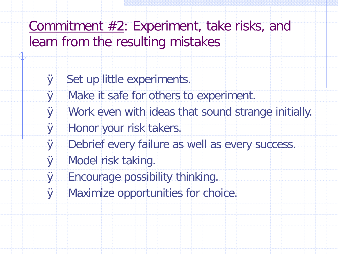Commitment  $#2$ : Experiment, take risks, and learn from the resulting mistakes

- Ø Set up little experiments.
- Ø Make it safe for others to experiment.
- Ø Work even with ideas that sound strange initially.
- Ø Honor your risk takers.
- Ø Debrief every failure as well as every success.
- Ø Model risk taking.
- Ø Encourage possibility thinking.
- Ø Maximize opportunities for choice.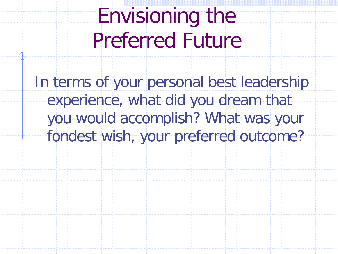Envisioning the Preferred Future

In terms of your personal best leadership experience, what did you dream that you would accomplish? What was your fondest wish, your preferred outcome?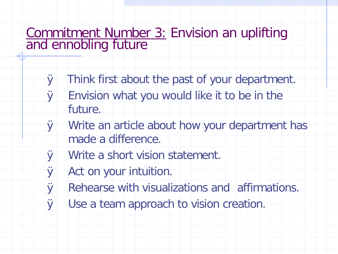# Commitment Number 3: Envision an uplifting<br>and ennobling future

- Ø Think first about the past of your department.
- Ø Envision what you would like it to be in the future.
- Ø Write an article about how your department has made a difference.
- Ø Write a short vision statement.
- Ø Act on your intuition.
- Ø Rehearse with visualizations and affirmations.
- Ø Use a team approach to vision creation.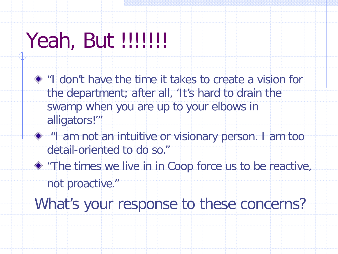## Yeah, But !!!!!!!!

- "I don't have the time it takes to create a vision for the department; after all, 'It's hard to drain the swamp when you are up to your elbows in alligators!'"
- $*$  "I am not an intuitive or visionary person. I am too detail-oriented to do so."
- "The times we live in in Coop force us to be reactive, not proactive."

What's your response to these concerns?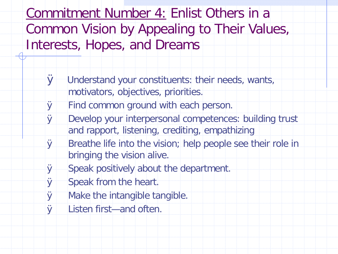Commitment Number 4: Enlist Others in a Common Vision by Appealing to Their Values, Interests, Hopes, and Dreams

- Ø Understand your constituents: their needs, wants, motivators, objectives, priorities.
- Ø Find common ground with each person.
- Ø Develop your interpersonal competences: building trust and rapport, listening, crediting, empathizing
- Ø Breathe life into the vision; help people see their role in bringing the vision alive.
- Ø Speak positively about the department.
- Ø Speak from the heart.
- Ø Make the intangible tangible.
- Ø Listen first—and often.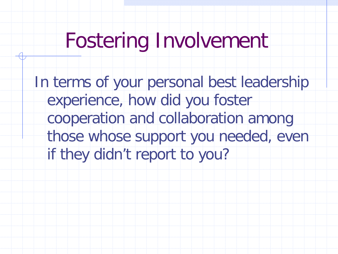### Fostering Involvement

In terms of your personal best leadership experience, how did you foster cooperation and collaboration among those whose support you needed, even if they didn't report to you?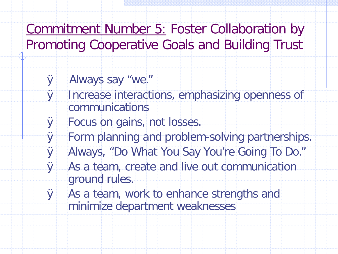Commitment Number 5: Foster Collaboration by Promoting Cooperative Goals and Building Trust

- Ø Always say "we."
- Ø Increase interactions, emphasizing openness of communications
- Ø Focus on gains, not losses.
- Ø Form planning and problem-solving partnerships.
- Ø Always, "Do What You Say You're Going To Do."
- Ø As a team, create and live out communication ground rules.
- Ø As a team, work to enhance strengths and minimize department weaknesses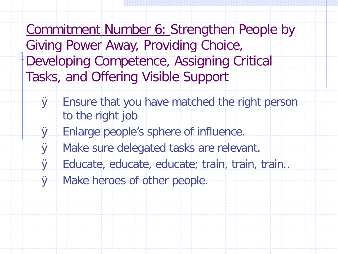Commitment Number 6: Strengthen People by Giving Power Away, Providing Choice, Developing Competence, Assigning Critical Tasks, and Offering Visible Support

- Ø Ensure that you have matched the right person to the right job
- Ø Enlarge people's sphere of influence.
- Ø Make sure delegated tasks are relevant.
- Ø Educate, educate, educate; train, train, train..
- Ø Make heroes of other people.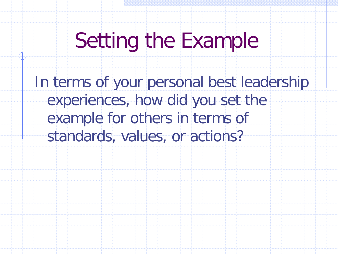## Setting the Example

In terms of your personal best leadership experiences, how did you set the example for others in terms of standards, values, or actions?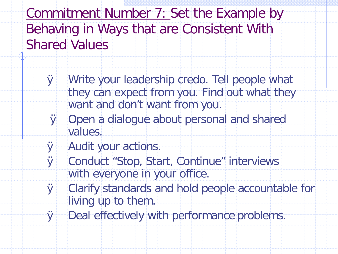Commitment Number 7: Set the Example by Behaving in Ways that are Consistent With Shared Values

- Ø Write your leadership credo. Tell people what they can expect from you. Find out what they want and don't want from you.
- Ø Open a dialogue about personal and shared values.
- Ø Audit your actions.
- Ø Conduct "Stop, Start, Continue" interviews with everyone in your office.
- Ø Clarify standards and hold people accountable for living up to them.
- Ø Deal effectively with performance problems.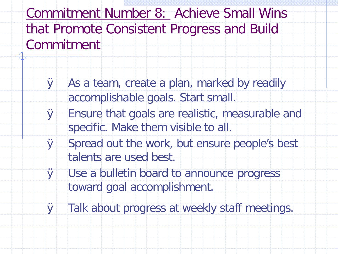Commitment Number 8: Achieve Small Wins that Promote Consistent Progress and Build Commitment

- Ø As a team, create a plan, marked by readily accomplishable goals. Start small.
- Ø Ensure that goals are realistic, measurable and specific. Make them visible to all.
- Ø Spread out the work, but ensure people's best talents are used best.
- Ø Use a bulletin board to announce progress toward goal accomplishment.
- Ø Talk about progress at weekly staff meetings.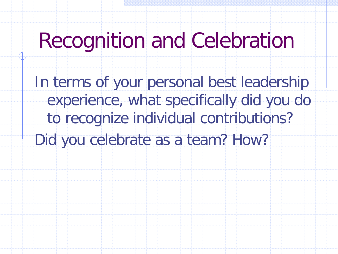### Recognition and Celebration

In terms of your personal best leadership experience, what specifically did you do to recognize individual contributions? Did you celebrate as a team? How?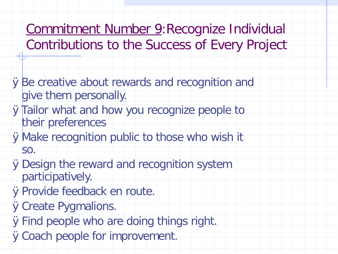- Commitment Number 9:Recognize Individual Contributions to the Success of Every Project
- ØBe creative about rewards and recognition and give them personally.
- **ØTailor what and how you recognize people to** their preferences
- ØMake recognition public to those who wish it so.
- ØDesign the reward and recognition system participatively.
- ØProvide feedback en route.
- **ØCreate Pygmalions.**
- ØFind people who are doing things right.
- **ØCoach people for improvement.**